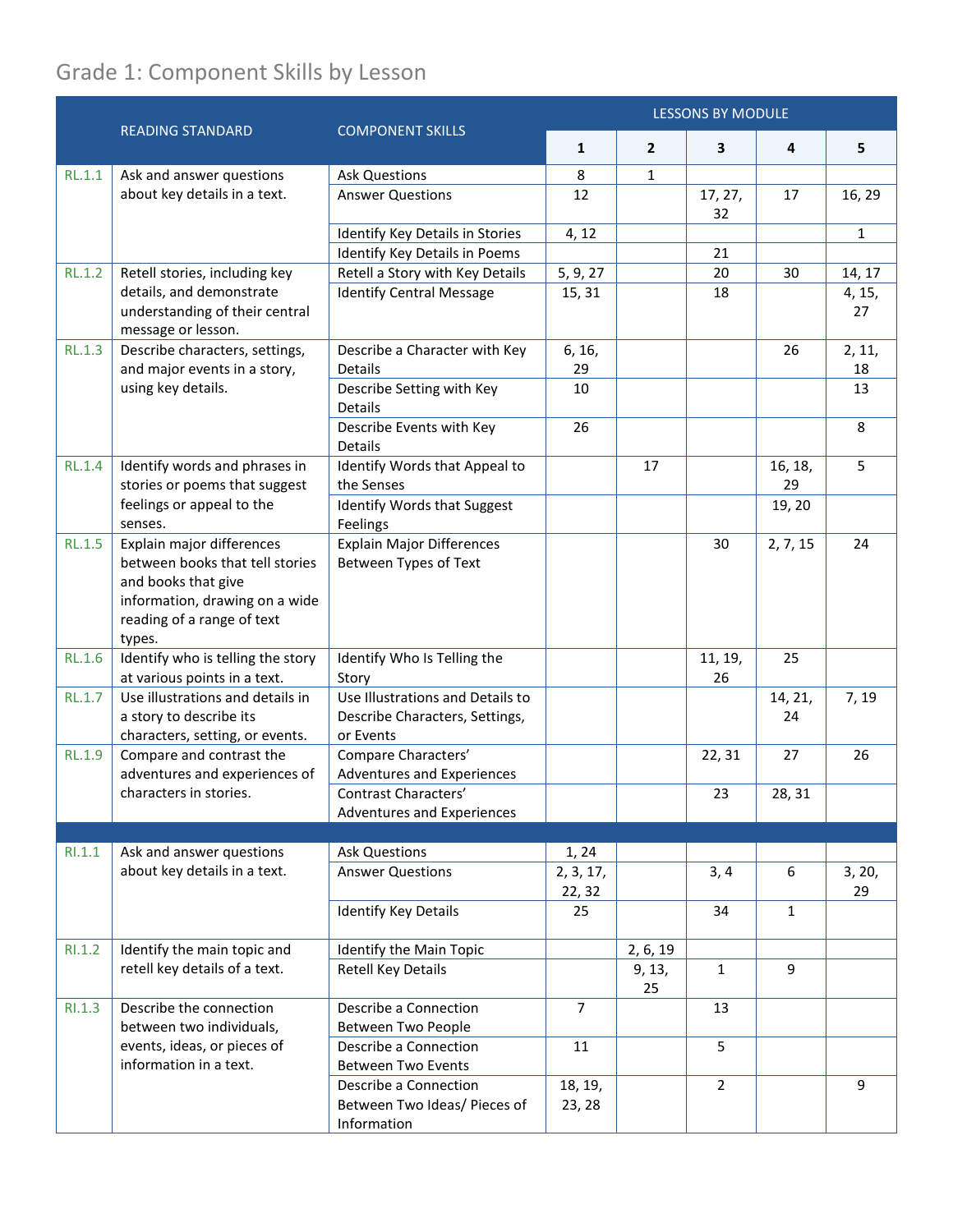## Grade 1: Component Skills by Lesson

|               | <b>READING STANDARD</b>                                                                                                                                       | <b>COMPONENT SKILLS</b>                                                         | <b>LESSONS BY MODULE</b> |                |                |               |              |
|---------------|---------------------------------------------------------------------------------------------------------------------------------------------------------------|---------------------------------------------------------------------------------|--------------------------|----------------|----------------|---------------|--------------|
|               |                                                                                                                                                               |                                                                                 | $\mathbf{1}$             | $\overline{2}$ | 3              | 4             | 5            |
| RL.1.1        | Ask and answer questions                                                                                                                                      | <b>Ask Questions</b>                                                            | 8                        | $\mathbf{1}$   |                |               |              |
|               | about key details in a text.                                                                                                                                  | <b>Answer Questions</b>                                                         | 12                       |                | 17, 27,<br>32  | 17            | 16, 29       |
|               |                                                                                                                                                               | Identify Key Details in Stories                                                 | 4, 12                    |                |                |               | $\mathbf{1}$ |
|               |                                                                                                                                                               | Identify Key Details in Poems                                                   |                          |                | 21             |               |              |
| RL.1.2        | Retell stories, including key                                                                                                                                 | Retell a Story with Key Details                                                 | 5, 9, 27                 |                | 20             | 30            | 14, 17       |
|               | details, and demonstrate<br>understanding of their central<br>message or lesson.                                                                              | <b>Identify Central Message</b>                                                 | 15, 31                   |                | 18             |               | 4, 15,<br>27 |
| RL.1.3        | Describe characters, settings,                                                                                                                                | Describe a Character with Key                                                   | 6, 16,                   |                |                | 26            | 2, 11,       |
|               | and major events in a story,                                                                                                                                  | <b>Details</b>                                                                  | 29                       |                |                |               | 18           |
|               | using key details.                                                                                                                                            | Describe Setting with Key<br>Details                                            | 10                       |                |                |               | 13           |
|               |                                                                                                                                                               | Describe Events with Key<br><b>Details</b>                                      | 26                       |                |                |               | 8            |
| <b>RL.1.4</b> | Identify words and phrases in<br>stories or poems that suggest<br>feelings or appeal to the<br>senses.                                                        | Identify Words that Appeal to<br>the Senses                                     |                          | 17             |                | 16, 18,<br>29 | 5            |
|               |                                                                                                                                                               | Identify Words that Suggest<br>Feelings                                         |                          |                |                | 19, 20        |              |
| RL.1.5        | Explain major differences<br>between books that tell stories<br>and books that give<br>information, drawing on a wide<br>reading of a range of text<br>types. | <b>Explain Major Differences</b><br>Between Types of Text                       |                          |                | 30             | 2, 7, 15      | 24           |
| <b>RL.1.6</b> | Identify who is telling the story<br>at various points in a text.                                                                                             | Identify Who Is Telling the<br>Story                                            |                          |                | 11, 19,<br>26  | 25            |              |
| <b>RL.1.7</b> | Use illustrations and details in<br>a story to describe its<br>characters, setting, or events.                                                                | Use Illustrations and Details to<br>Describe Characters, Settings,<br>or Events |                          |                |                | 14, 21,<br>24 | 7, 19        |
| <b>RL.1.9</b> | Compare and contrast the<br>adventures and experiences of                                                                                                     | Compare Characters'<br>Adventures and Experiences                               |                          |                | 22, 31         | 27            | 26           |
|               | characters in stories.                                                                                                                                        | Contrast Characters'<br>Adventures and Experiences                              |                          |                | 23             | 28, 31        |              |
|               |                                                                                                                                                               |                                                                                 |                          |                |                |               |              |
| RI.1.1        | Ask and answer questions                                                                                                                                      | <b>Ask Questions</b>                                                            | 1, 24                    |                |                |               |              |
|               | about key details in a text.                                                                                                                                  | <b>Answer Questions</b>                                                         | 2, 3, 17,<br>22, 32      |                | 3, 4           | 6             | 3, 20,<br>29 |
|               |                                                                                                                                                               | <b>Identify Key Details</b>                                                     | 25                       |                | 34             | 1             |              |
| RI.1.2        | Identify the main topic and                                                                                                                                   | Identify the Main Topic                                                         |                          | 2, 6, 19       |                |               |              |
|               | retell key details of a text.                                                                                                                                 | Retell Key Details                                                              |                          | 9, 13,<br>25   | $\mathbf{1}$   | 9             |              |
| RI.1.3        | Describe the connection<br>between two individuals,                                                                                                           | Describe a Connection<br>Between Two People                                     | $\overline{7}$           |                | 13             |               |              |
|               | events, ideas, or pieces of<br>information in a text.                                                                                                         | Describe a Connection<br><b>Between Two Events</b>                              | 11                       |                | 5              |               |              |
|               |                                                                                                                                                               | Describe a Connection<br>Between Two Ideas/ Pieces of<br>Information            | 18, 19,<br>23, 28        |                | $\overline{2}$ |               | 9            |